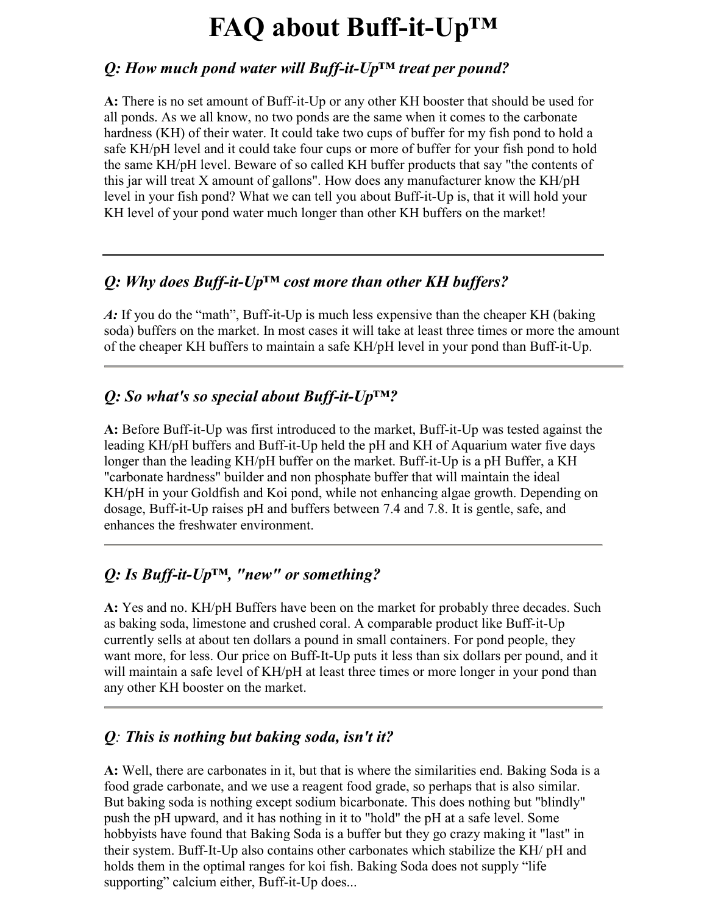# **FAQ about Buff-it-Up™**

### *Q: How much pond water will Buff-it-Up™ treat per pound?*

**A:** There is no set amount of Buff-it-Up or any other KH booster that should be used for all ponds. As we all know, no two ponds are the same when it comes to the carbonate hardness (KH) of their water. It could take two cups of buffer for my fish pond to hold a safe KH/pH level and it could take four cups or more of buffer for your fish pond to hold the same KH/pH level. Beware of so called KH buffer products that say "the contents of this jar will treat X amount of gallons". How does any manufacturer know the KH/pH level in your fish pond? What we can tell you about Buff-it-Up is, that it will hold your KH level of your pond water much longer than other KH buffers on the market!

## *Q: Why does Buff-it-Up™ cost more than other KH buffers?*

*A:* If you do the "math", Buff-it-Up is much less expensive than the cheaper KH (baking soda) buffers on the market. In most cases it will take at least three times or more the amount of the cheaper KH buffers to maintain a safe KH/pH level in your pond than Buff-it-Up.

## *Q: So what's so special about Buff-it-Up™?*

**A:** Before Buff-it-Up was first introduced to the market, Buff-it-Up was tested against the leading KH/pH buffers and Buff-it-Up held the pH and KH of Aquarium water five days longer than the leading KH/pH buffer on the market. Buff-it-Up is a pH Buffer, a KH "carbonate hardness" builder and non phosphate buffer that will maintain the ideal KH/pH in your Goldfish and Koi pond, while not enhancing algae growth. Depending on dosage, Buff-it-Up raises pH and buffers between 7.4 and 7.8. It is gentle, safe, and enhances the freshwater environment.

# *Q: Is Buff-it-Up™, "new" or something?*

**A:** Yes and no. KH/pH Buffers have been on the market for probably three decades. Such as baking soda, limestone and crushed coral. A comparable product like Buff-it-Up currently sells at about ten dollars a pound in small containers. For pond people, they want more, for less. Our price on Buff-It-Up puts it less than six dollars per pound, and it will maintain a safe level of KH/pH at least three times or more longer in your pond than any other KH booster on the market.

## *Q: This is nothing but baking soda, isn't it?*

**A:** Well, there are carbonates in it, but that is where the similarities end. Baking Soda is a food grade carbonate, and we use a reagent food grade, so perhaps that is also similar. But baking soda is nothing except sodium bicarbonate. This does nothing but "blindly" push the pH upward, and it has nothing in it to "hold" the pH at a safe level. Some hobbyists have found that Baking Soda is a buffer but they go crazy making it "last" in their system. Buff-It-Up also contains other carbonates which stabilize the KH/ pH and holds them in the optimal ranges for koi fish. Baking Soda does not supply "life supporting" calcium either, Buff-it-Up does...